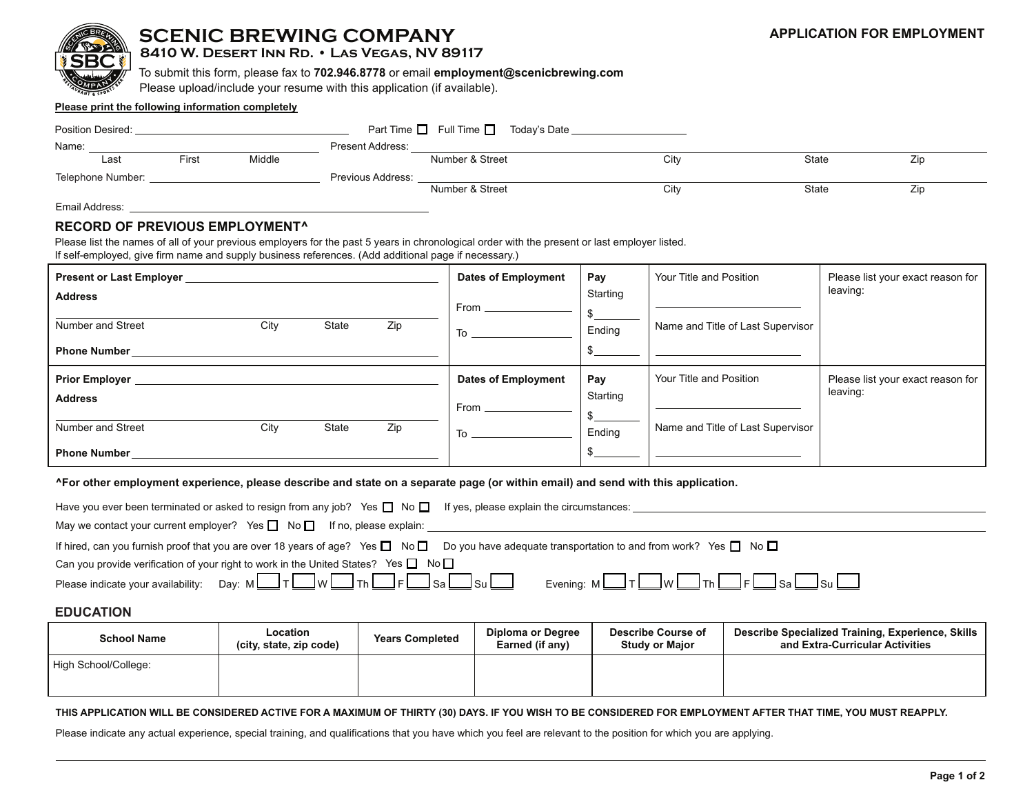

# **SCENIC BREWING COMPANY**

## **8410 W. Desert Inn Rd. • Las Vegas, NV 89117**

To submit this form, please fax to **702.946.8778** or email **employment@scenicbrewing.com**

Please upload/include your resume with this application (if available).

#### **Please print the following information completely**

| Position Desired:       |                         | Part Time $\Box$ Full Time $\Box$<br>Today's Date |      |       |     |
|-------------------------|-------------------------|---------------------------------------------------|------|-------|-----|
| Name:                   | <b>Present Address:</b> |                                                   |      |       |     |
| Middle<br>Last<br>First |                         | Number & Street                                   | City | State | ∠lp |
| Telephone Number:       | Previous Address:       |                                                   |      |       |     |
|                         |                         | Number & Street                                   | City | State | ∠lp |

Email Address:

### **RECORD OF PREVIOUS EMPLOYMENT^**

Please list the names of all of your previous employers for the past 5 years in chronological order with the present or last employer listed. If self-employed, give firm name and supply business references. (Add additional page if necessary.)

| <b>Present or Last Employer</b>                 |      |       |     | <b>Dates of Employment</b>                                                                                                                                                                                                     | Pay      | Your Title and Position           | Please list your exact reason for |
|-------------------------------------------------|------|-------|-----|--------------------------------------------------------------------------------------------------------------------------------------------------------------------------------------------------------------------------------|----------|-----------------------------------|-----------------------------------|
| <b>Address</b>                                  |      |       |     | $From \_\_$                                                                                                                                                                                                                    | Starting |                                   | leaving:                          |
| <b>Number and Street</b><br><b>Phone Number</b> | City | State | Zip | To the control of the control of the control of the control of the control of the control of the control of the control of the control of the control of the control of the control of the control of the control of the contr | Ending   | Name and Title of Last Supervisor |                                   |
|                                                 |      |       |     |                                                                                                                                                                                                                                |          |                                   |                                   |
| <b>Prior Employer</b>                           |      |       |     | <b>Dates of Employment</b>                                                                                                                                                                                                     | Pay      | Your Title and Position           | Please list your exact reason for |
| <b>Address</b>                                  |      |       |     | From $-$                                                                                                                                                                                                                       | Starting |                                   | leaving:                          |
| <b>Number and Street</b>                        | City | State | Zip | To                                                                                                                                                                                                                             | Ending   | Name and Title of Last Supervisor |                                   |

#### **^For other employment experience, please describe and state on a separate page (or within email) and send with this application.**

| Have you ever been terminated or asked to resign from any job? Yes $\Box$ No $\Box$ If yes, please explain the circumstances:                                      |                                                                       |
|--------------------------------------------------------------------------------------------------------------------------------------------------------------------|-----------------------------------------------------------------------|
| May we contact your current employer? Yes $\Box$ No $\Box$ If no, please explain:                                                                                  |                                                                       |
| If hired, can you furnish proof that you are over 18 years of age? Yes $\Box$ No $\Box$ Do you have adequate transportation to and from work? Yes $\Box$ No $\Box$ |                                                                       |
| Can you provide verification of your right to work in the United States? Yes $\Box$ No $\Box$                                                                      |                                                                       |
| Please indicate your availability: Day: $M \cup T \cup W$ The Fig. Sa Su                                                                                           | Evening: $M \Box T \Box W \Box T$ h $\Box F \Box$ Sa $\Box$ Su $\Box$ |

## **EDUCATION**

| <b>School Name</b>   | Location<br>(city, state, zip code) | <b>Years Completed</b> | Diploma or Degree<br>Earned (if any) | <b>Describe Course of</b><br><b>Study or Major</b> | Describe Specialized Training, Experience, Skills<br>and Extra-Curricular Activities |
|----------------------|-------------------------------------|------------------------|--------------------------------------|----------------------------------------------------|--------------------------------------------------------------------------------------|
| High School/College: |                                     |                        |                                      |                                                    |                                                                                      |

#### **THIS APPLICATION WILL BE CONSIDERED ACTIVE FOR A MAXIMUM OF THIRTY (30) DAYS. IF YOU WISH TO BE CONSIDERED FOR EMPLOYMENT AFTER THAT TIME, YOU MUST REAPPLY.**

Please indicate any actual experience, special training, and qualifications that you have which you feel are relevant to the position for which you are applying.